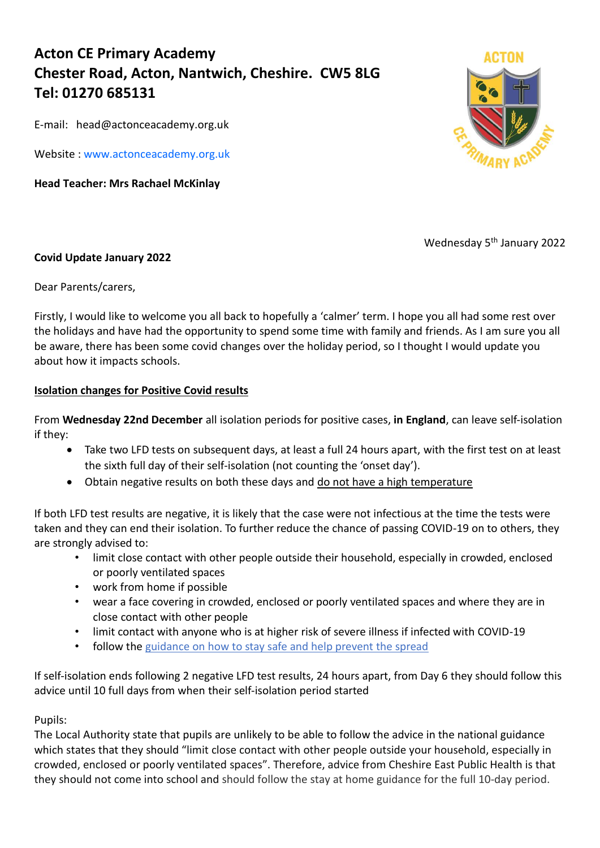# **Acton CE Primary Academy Chester Road, Acton, Nantwich, Cheshire. CW5 8LG Tel: 01270 685131**

**ACTON** 

E-mail: head@actonceacademy.org.uk

Website : www.actonceacademy.org.uk

**Head Teacher: Mrs Rachael McKinlay**

Wednesday 5<sup>th</sup> January 2022

#### **Covid Update January 2022**

Dear Parents/carers,

Firstly, I would like to welcome you all back to hopefully a 'calmer' term. I hope you all had some rest over the holidays and have had the opportunity to spend some time with family and friends. As I am sure you all be aware, there has been some covid changes over the holiday period, so I thought I would update you about how it impacts schools.

#### **Isolation changes for Positive Covid results**

From **Wednesday 22nd December** all isolation periods for positive cases, **in England**, can leave self-isolation if they:

- Take two LFD tests on subsequent days, at least a full 24 hours apart, with the first test on at least the sixth full day of their self-isolation (not counting the 'onset day').
- Obtain negative results on both these days and do not have a high temperature

If both LFD test results are negative, it is likely that the case were not infectious at the time the tests were taken and they can end their isolation. To further reduce the chance of passing COVID-19 on to others, they are strongly advised to:

- limit close contact with other people outside their household, especially in crowded, enclosed or poorly ventilated spaces
- work from home if possible
- wear a face covering in crowded, enclosed or poorly ventilated spaces and where they are in close contact with other people
- limit contact with anyone who is at higher risk of severe illness if infected with COVID-19
- follow the [guidance on how to stay safe and help prevent the spread](https://eur03.safelinks.protection.outlook.com/?url=https%3A%2F%2Fwww.gov.uk%2Fguidance%2Fcovid-19-coronavirus-restrictions-what-you-can-and-cannot-do%23keeping-yourself-and-others-safe&data=04%7C01%7CJessica.Williams1%40dhsc.gov.uk%7C11d3a69fdae64b01263e08d9c465c25e%7C61278c3091a84c318c1fef4de8973a1c%7C1%7C0%7C637756763596363925%7CUnknown%7CTWFpbGZsb3d8eyJWIjoiMC4wLjAwMDAiLCJQIjoiV2luMzIiLCJBTiI6Ik1haWwiLCJXVCI6Mn0%3D%7C3000&sdata=ZhoR4bUlmzj3%2Bb8txucOdnnCZ923jLRMGHse7cSS82A%3D&reserved=0)

If self-isolation ends following 2 negative LFD test results, 24 hours apart, from Day 6 they should follow this advice until 10 full days from when their self-isolation period started

#### Pupils:

The Local Authority state that pupils are unlikely to be able to follow the advice in the national guidance which states that they should "limit close contact with other people outside your household, especially in crowded, enclosed or poorly ventilated spaces". Therefore, advice from Cheshire East Public Health is that they should not come into school and should follow the stay at home guidance for the full 10-day period.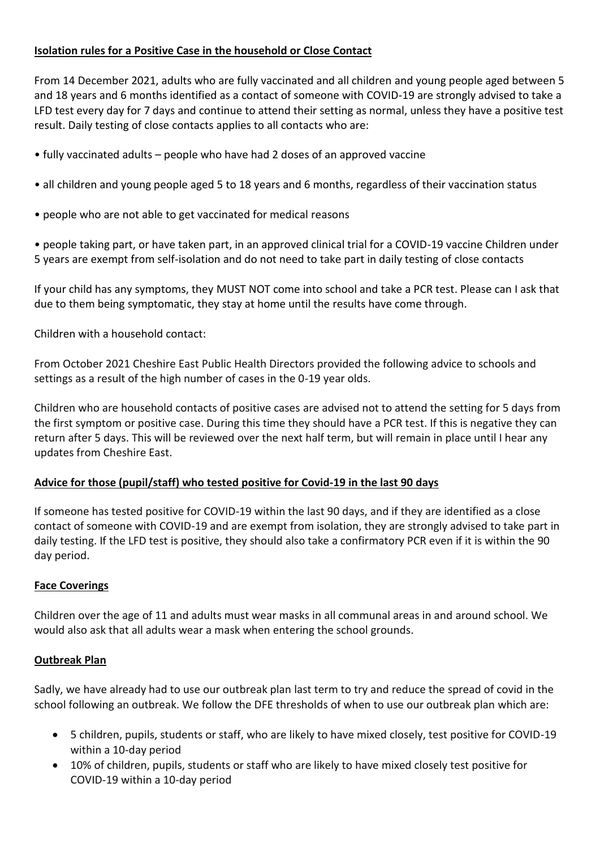## **Isolation rules for a Positive Case in the household or Close Contact**

From 14 December 2021, adults who are fully vaccinated and all children and young people aged between 5 and 18 years and 6 months identified as a contact of someone with COVID-19 are strongly advised to take a LFD test every day for 7 days and continue to attend their setting as normal, unless they have a positive test result. Daily testing of close contacts applies to all contacts who are:

- fully vaccinated adults people who have had 2 doses of an approved vaccine
- all children and young people aged 5 to 18 years and 6 months, regardless of their vaccination status
- people who are not able to get vaccinated for medical reasons

• people taking part, or have taken part, in an approved clinical trial for a COVID-19 vaccine Children under 5 years are exempt from self-isolation and do not need to take part in daily testing of close contacts

If your child has any symptoms, they MUST NOT come into school and take a PCR test. Please can I ask that due to them being symptomatic, they stay at home until the results have come through.

Children with a household contact:

From October 2021 Cheshire East Public Health Directors provided the following advice to schools and settings as a result of the high number of cases in the 0-19 year olds.

Children who are household contacts of positive cases are advised not to attend the setting for 5 days from the first symptom or positive case. During this time they should have a PCR test. If this is negative they can return after 5 days. This will be reviewed over the next half term, but will remain in place until I hear any updates from Cheshire East.

#### **Advice for those (pupil/staff) who tested positive for Covid-19 in the last 90 days**

If someone has tested positive for COVID-19 within the last 90 days, and if they are identified as a close contact of someone with COVID-19 and are exempt from isolation, they are strongly advised to take part in daily testing. If the LFD test is positive, they should also take a confirmatory PCR even if it is within the 90 day period.

#### **Face Coverings**

Children over the age of 11 and adults must wear masks in all communal areas in and around school. We would also ask that all adults wear a mask when entering the school grounds.

#### **Outbreak Plan**

Sadly, we have already had to use our outbreak plan last term to try and reduce the spread of covid in the school following an outbreak. We follow the DFE thresholds of when to use our outbreak plan which are:

- 5 children, pupils, students or staff, who are likely to have mixed closely, test positive for COVID-19 within a 10-day period
- 10% of children, pupils, students or staff who are likely to have mixed closely test positive for COVID-19 within a 10-day period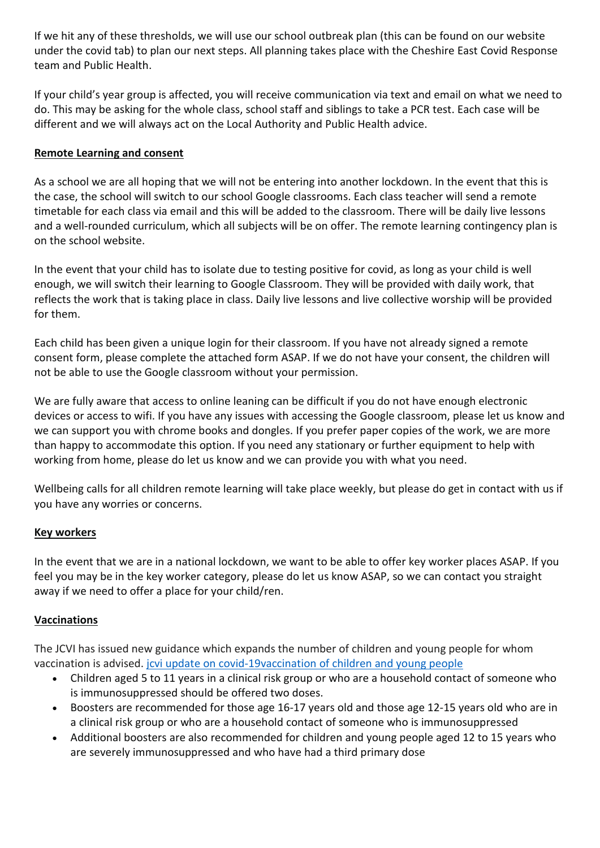If we hit any of these thresholds, we will use our school outbreak plan (this can be found on our website under the covid tab) to plan our next steps. All planning takes place with the Cheshire East Covid Response team and Public Health.

If your child's year group is affected, you will receive communication via text and email on what we need to do. This may be asking for the whole class, school staff and siblings to take a PCR test. Each case will be different and we will always act on the Local Authority and Public Health advice.

### **Remote Learning and consent**

As a school we are all hoping that we will not be entering into another lockdown. In the event that this is the case, the school will switch to our school Google classrooms. Each class teacher will send a remote timetable for each class via email and this will be added to the classroom. There will be daily live lessons and a well-rounded curriculum, which all subjects will be on offer. The remote learning contingency plan is on the school website.

In the event that your child has to isolate due to testing positive for covid, as long as your child is well enough, we will switch their learning to Google Classroom. They will be provided with daily work, that reflects the work that is taking place in class. Daily live lessons and live collective worship will be provided for them.

Each child has been given a unique login for their classroom. If you have not already signed a remote consent form, please complete the attached form ASAP. If we do not have your consent, the children will not be able to use the Google classroom without your permission.

We are fully aware that access to online leaning can be difficult if you do not have enough electronic devices or access to wifi. If you have any issues with accessing the Google classroom, please let us know and we can support you with chrome books and dongles. If you prefer paper copies of the work, we are more than happy to accommodate this option. If you need any stationary or further equipment to help with working from home, please do let us know and we can provide you with what you need.

Wellbeing calls for all children remote learning will take place weekly, but please do get in contact with us if you have any worries or concerns.

#### **Key workers**

In the event that we are in a national lockdown, we want to be able to offer key worker places ASAP. If you feel you may be in the key worker category, please do let us know ASAP, so we can contact you straight away if we need to offer a place for your child/ren.

#### **Vaccinations**

The JCVI has issued new guidance which expands the number of children and young people for whom vaccination is advised. jcvi update on [covid-19vaccination](https://www.gov.uk/government/publications/jcvi-update-on-advice-for-covid-19-vaccination-of-children-and-young-people/jcvi-statement-on-covid-19-vaccination-of-children-and-young-people-22-december-2021) of children and young people

- Children aged 5 to 11 years in a clinical risk group or who are a household contact of someone who is immunosuppressed should be offered two doses.
- Boosters are recommended for those age 16-17 years old and those age 12-15 years old who are in a clinical risk group or who are a household contact of someone who is immunosuppressed
- Additional boosters are also recommended for children and young people aged 12 to 15 years who are severely immunosuppressed and who have had a third primary dose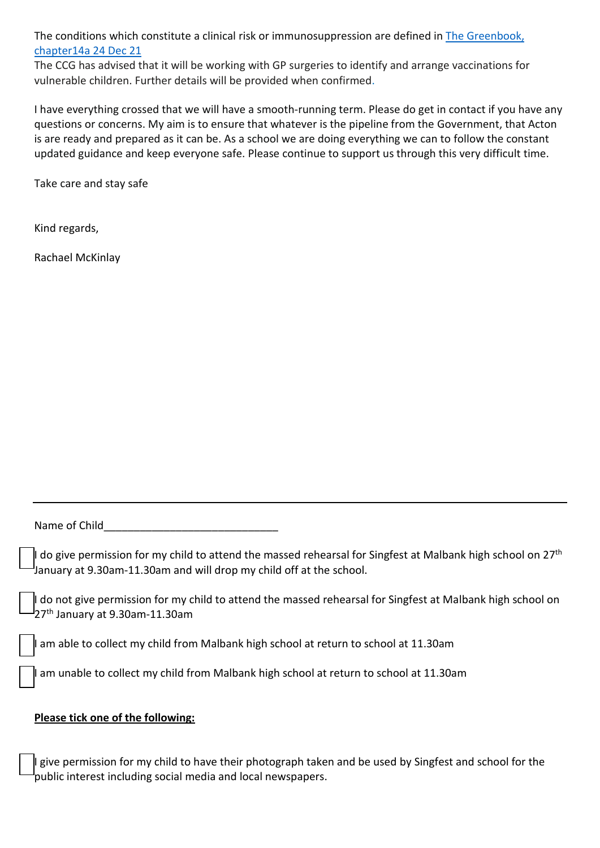The conditions which constitute a clinical risk or immunosuppression are defined in The [Greenbook,](https://assets.publishing.service.gov.uk/government/uploads/system/uploads/attachment_data/file/1043861/Greenbook-chapter-14a-24Dec21.pdf) [chapter14a](https://assets.publishing.service.gov.uk/government/uploads/system/uploads/attachment_data/file/1043861/Greenbook-chapter-14a-24Dec21.pdf) 24 Dec 21

The CCG has advised that it will be working with GP surgeries to identify and arrange vaccinations for vulnerable children. Further details will be provided when confirmed.

I have everything crossed that we will have a smooth-running term. Please do get in contact if you have any questions or concerns. My aim is to ensure that whatever is the pipeline from the Government, that Acton is are ready and prepared as it can be. As a school we are doing everything we can to follow the constant updated guidance and keep everyone safe. Please continue to support us through this very difficult time.

Take care and stay safe

Kind regards,

Rachael McKinlay

Name of Child

I do give permission for my child to attend the massed rehearsal for Singfest at Malbank high school on 27<sup>th</sup>  $J$ anuary at 9.30am-11.30am and will drop my child off at the school.

I do not give permission for my child to attend the massed rehearsal for Singfest at Malbank high school on <sup>J</sup>27<sup>th</sup> January at 9.30am-11.30am

 $\parallel$  am able to collect my child from Malbank high school at return to school at 11.30am

am unable to collect my child from Malbank high school at return to school at 11.30am

#### **Please tick one of the following:**

I give permission for my child to have their photograph taken and be used by Singfest and school for the public interest including social media and local newspapers.